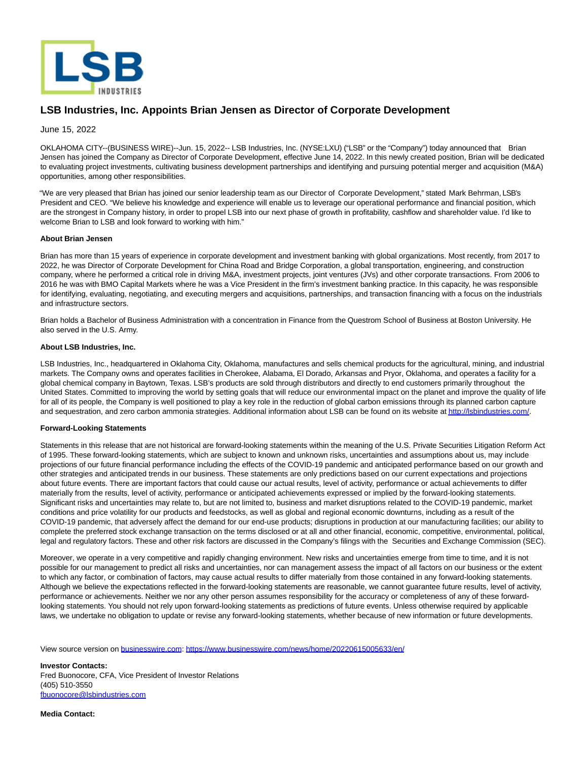

## **LSB Industries, Inc. Appoints Brian Jensen as Director of Corporate Development**

June 15, 2022

OKLAHOMA CITY--(BUSINESS WIRE)--Jun. 15, 2022-- LSB Industries, Inc. (NYSE:LXU) ("LSB" or the "Company") today announced that Brian Jensen has joined the Company as Director of Corporate Development, effective June 14, 2022. In this newly created position, Brian will be dedicated to evaluating project investments, cultivating business development partnerships and identifying and pursuing potential merger and acquisition (M&A) opportunities, among other responsibilities.

"We are very pleased that Brian has joined our senior leadership team as our Director of Corporate Development," stated Mark Behrman, LSB's President and CEO. "We believe his knowledge and experience will enable us to leverage our operational performance and financial position, which are the strongest in Company history, in order to propel LSB into our next phase of growth in profitability, cashflow and shareholder value. I'd like to welcome Brian to LSB and look forward to working with him."

## **About Brian Jensen**

Brian has more than 15 years of experience in corporate development and investment banking with global organizations. Most recently, from 2017 to 2022, he was Director of Corporate Development for China Road and Bridge Corporation, a global transportation, engineering, and construction company, where he performed a critical role in driving M&A, investment projects, joint ventures (JVs) and other corporate transactions. From 2006 to 2016 he was with BMO Capital Markets where he was a Vice President in the firm's investment banking practice. In this capacity, he was responsible for identifying, evaluating, negotiating, and executing mergers and acquisitions, partnerships, and transaction financing with a focus on the industrials and infrastructure sectors.

Brian holds a Bachelor of Business Administration with a concentration in Finance from the Questrom School of Business at Boston University. He also served in the U.S. Army.

## **About LSB Industries, Inc.**

LSB Industries, Inc., headquartered in Oklahoma City, Oklahoma, manufactures and sells chemical products for the agricultural, mining, and industrial markets. The Company owns and operates facilities in Cherokee, Alabama, El Dorado, Arkansas and Pryor, Oklahoma, and operates a facility for a global chemical company in Baytown, Texas. LSB's products are sold through distributors and directly to end customers primarily throughout the United States. Committed to improving the world by setting goals that will reduce our environmental impact on the planet and improve the quality of life for all of its people, the Company is well positioned to play a key role in the reduction of global carbon emissions through its planned carbon capture and sequestration, and zero carbon ammonia strategies. Additional information about LSB can be found on its website a[t http://lsbindustries.com/.](https://cts.businesswire.com/ct/CT?id=smartlink&url=http%3A%2F%2Flsbindustries.com%2F&esheet=52750667&newsitemid=20220615005633&lan=en-US&anchor=http%3A%2F%2Flsbindustries.com%2F&index=1&md5=c052a5ae7d048f49c0f796215dfc3655)

## **Forward-Looking Statements**

Statements in this release that are not historical are forward-looking statements within the meaning of the U.S. Private Securities Litigation Reform Act of 1995. These forward-looking statements, which are subject to known and unknown risks, uncertainties and assumptions about us, may include projections of our future financial performance including the effects of the COVID-19 pandemic and anticipated performance based on our growth and other strategies and anticipated trends in our business. These statements are only predictions based on our current expectations and projections about future events. There are important factors that could cause our actual results, level of activity, performance or actual achievements to differ materially from the results, level of activity, performance or anticipated achievements expressed or implied by the forward-looking statements. Significant risks and uncertainties may relate to, but are not limited to, business and market disruptions related to the COVID-19 pandemic, market conditions and price volatility for our products and feedstocks, as well as global and regional economic downturns, including as a result of the COVID-19 pandemic, that adversely affect the demand for our end-use products; disruptions in production at our manufacturing facilities; our ability to complete the preferred stock exchange transaction on the terms disclosed or at all and other financial, economic, competitive, environmental, political, legal and regulatory factors. These and other risk factors are discussed in the Company's filings with the Securities and Exchange Commission (SEC).

Moreover, we operate in a very competitive and rapidly changing environment. New risks and uncertainties emerge from time to time, and it is not possible for our management to predict all risks and uncertainties, nor can management assess the impact of all factors on our business or the extent to which any factor, or combination of factors, may cause actual results to differ materially from those contained in any forward-looking statements. Although we believe the expectations reflected in the forward-looking statements are reasonable, we cannot guarantee future results, level of activity, performance or achievements. Neither we nor any other person assumes responsibility for the accuracy or completeness of any of these forwardlooking statements. You should not rely upon forward-looking statements as predictions of future events. Unless otherwise required by applicable laws, we undertake no obligation to update or revise any forward-looking statements, whether because of new information or future developments.

View source version on [businesswire.com:](http://businesswire.com/)<https://www.businesswire.com/news/home/20220615005633/en/>

**Investor Contacts:** Fred Buonocore, CFA, Vice President of Investor Relations (405) 510-3550 [fbuonocore@lsbindustries.com](mailto:fbuonocore@lsbindustries.com)

**Media Contact:**